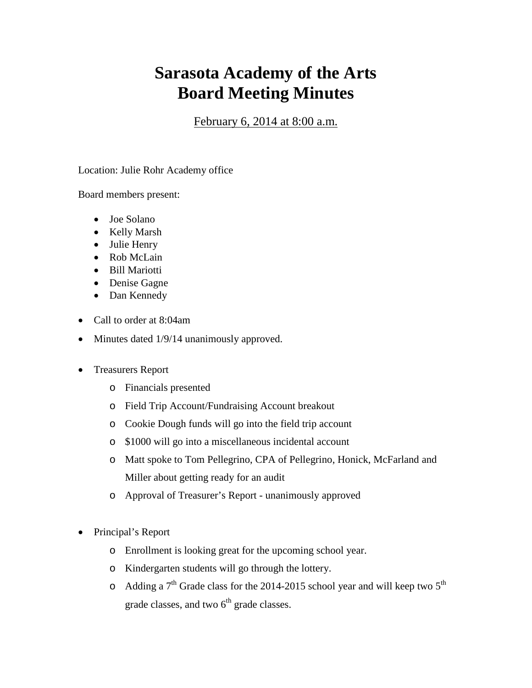## **Sarasota Academy of the Arts Board Meeting Minutes**

February 6, 2014 at 8:00 a.m.

Location: Julie Rohr Academy office

Board members present:

- Joe Solano
- Kelly Marsh
- Julie Henry
- Rob McLain
- Bill Mariotti
- Denise Gagne
- Dan Kennedy
- Call to order at 8:04am
- Minutes dated 1/9/14 unanimously approved.
- Treasurers Report
	- o Financials presented
	- o Field Trip Account/Fundraising Account breakout
	- o Cookie Dough funds will go into the field trip account
	- o \$1000 will go into a miscellaneous incidental account
	- o Matt spoke to Tom Pellegrino, CPA of Pellegrino, Honick, McFarland and Miller about getting ready for an audit
	- o Approval of Treasurer's Report unanimously approved
- Principal's Report
	- o Enrollment is looking great for the upcoming school year.
	- o Kindergarten students will go through the lottery.
	- $\circ$  Adding a 7<sup>th</sup> Grade class for the 2014-2015 school year and will keep two 5<sup>th</sup> grade classes, and two  $6<sup>th</sup>$  grade classes.